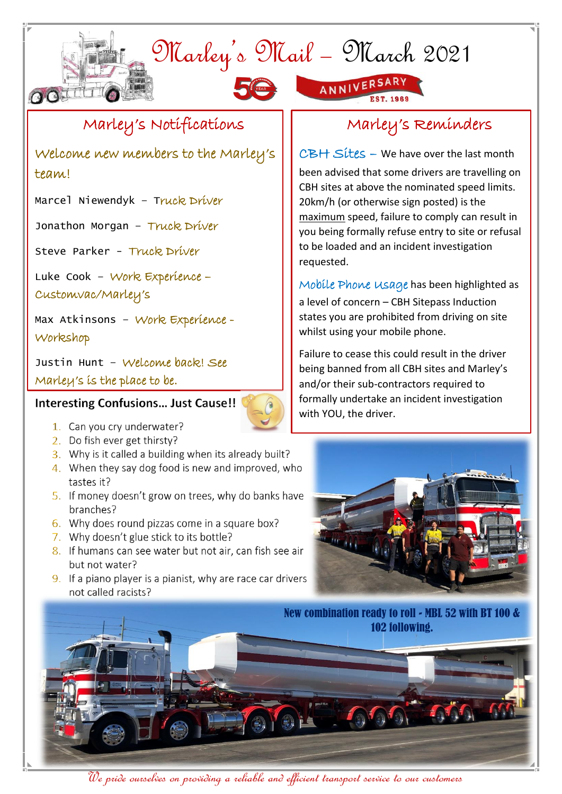## Marley's Mail – March 2021





#### Marley's Notifications

Welcome new members to the Marley's team!

Marcel Niewendyk - Truck Driver

Jonathon Morgan - Truck Driver

Steve Parker - Truck Driver

Luke Cook – Work Experience –

Customvac/Marley's

OO

Max Atkinsons – Work Experience - Workshop

Justin Hunt – Welcome back! See Marley's is the place to be.

#### **Interesting Confusions... Just Cause!!**

- 1. Can you cry underwater?
- 2. Do fish ever get thirsty?
- 3. Why is it called a building when its already built?
- 4. When they say dog food is new and improved, who tastes it?
- 5. If money doesn't grow on trees, why do banks have branches?
- 6. Why does round pizzas come in a square box?
- 7. Why doesn't glue stick to its bottle?
- 8. If humans can see water but not air, can fish see air but not water?
- 9. If a piano player is a pianist, why are race car drivers not called racists?

### Marley's Reminders

CBH Sites – We have over the last month been advised that some drivers are travelling on CBH sites at above the nominated speed limits. 20km/h (or otherwise sign posted) is the maximum speed, failure to comply can result in you being formally refuse entry to site or refusal to be loaded and an incident investigation requested.

Mobile Phone Usage has been highlighted as a level of concern – CBH Sitepass Induction states you are prohibited from driving on site whilst using your mobile phone.

Failure to cease this could result in the driver being banned from all CBH sites and Marley's and/or their sub-contractors required to formally undertake an incident investigation with YOU, the driver.



New combination ready to roll - MBL 52 with BT 100 & 102 following.



j

We pride ourselves on providing a reliable and efficient transport service to our customers